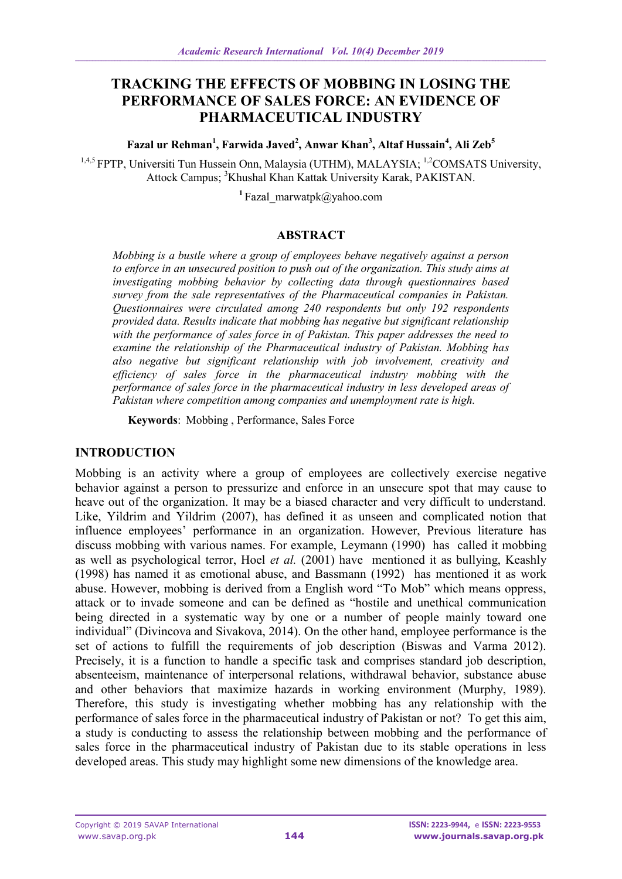# **TRACKING THE EFFECTS OF MOBBING IN LOSING THE PERFORMANCE OF SALES FORCE: AN EVIDENCE OF PHARMACEUTICAL INDUSTRY**

**Fazal ur Rehman<sup>1</sup> , Farwida Javed<sup>2</sup> , Anwar Khan<sup>3</sup> , Altaf Hussain<sup>4</sup> , Ali Zeb<sup>5</sup>**

<sup>1,4,5</sup> FPTP, Universiti Tun Hussein Onn, Malaysia (UTHM), MALAYSIA; <sup>1,2</sup>COMSATS University, Attock Campus; <sup>3</sup>Khushal Khan Kattak University Karak, PAKISTAN.

<sup>1</sup>Fazal marwatpk@yahoo.com

#### **ABSTRACT**

*Mobbing is a bustle where a group of employees behave negatively against a person to enforce in an unsecured position to push out of the organization. This study aims at investigating mobbing behavior by collecting data through questionnaires based survey from the sale representatives of the Pharmaceutical companies in Pakistan. Questionnaires were circulated among 240 respondents but only 192 respondents provided data. Results indicate that mobbing has negative but significant relationship with the performance of sales force in of Pakistan. This paper addresses the need to examine the relationship of the Pharmaceutical industry of Pakistan. Mobbing has also negative but significant relationship with job involvement, creativity and efficiency of sales force in the pharmaceutical industry mobbing with the performance of sales force in the pharmaceutical industry in less developed areas of Pakistan where competition among companies and unemployment rate is high.*

**Keywords**: Mobbing , Performance, Sales Force

#### **INTRODUCTION**

Mobbing is an activity where a group of employees are collectively exercise negative behavior against a person to pressurize and enforce in an unsecure spot that may cause to heave out of the organization. It may be a biased character and very difficult to understand. Like, Yildrim and Yildrim (2007), has defined it as unseen and complicated notion that influence employees' performance in an organization. However, Previous literature has discuss mobbing with various names. For example, Leymann (1990) has called it mobbing as well as psychological terror, Hoel *et al.* (2001) have mentioned it as bullying, Keashly (1998) has named it as emotional abuse, and Bassmann (1992) has mentioned it as work abuse. However, mobbing is derived from a English word "To Mob" which means oppress, attack or to invade someone and can be defined as "hostile and unethical communication being directed in a systematic way by one or a number of people mainly toward one individual" (Divincova and Sivakova, 2014). On the other hand, employee performance is the set of actions to fulfill the requirements of job description (Biswas and Varma 2012). Precisely, it is a function to handle a specific task and comprises standard job description, absenteeism, maintenance of interpersonal relations, withdrawal behavior, substance abuse and other behaviors that maximize hazards in working environment (Murphy, 1989). Therefore, this study is investigating whether mobbing has any relationship with the performance of sales force in the pharmaceutical industry of Pakistan or not? To get this aim, a study is conducting to assess the relationship between mobbing and the performance of sales force in the pharmaceutical industry of Pakistan due to its stable operations in less developed areas. This study may highlight some new dimensions of the knowledge area.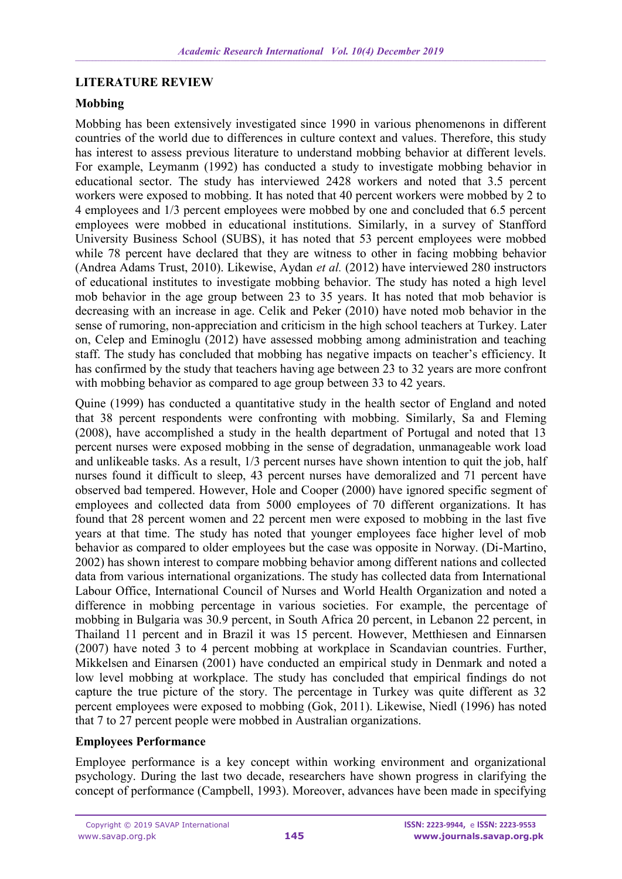### **LITERATURE REVIEW**

### **Mobbing**

Mobbing has been extensively investigated since 1990 in various phenomenons in different countries of the world due to differences in culture context and values. Therefore, this study has interest to assess previous literature to understand mobbing behavior at different levels. For example, Leymanm (1992) has conducted a study to investigate mobbing behavior in educational sector. The study has interviewed 2428 workers and noted that 3.5 percent workers were exposed to mobbing. It has noted that 40 percent workers were mobbed by 2 to 4 employees and 1/3 percent employees were mobbed by one and concluded that 6.5 percent employees were mobbed in educational institutions. Similarly, in a survey of Stanfford University Business School (SUBS), it has noted that 53 percent employees were mobbed while 78 percent have declared that they are witness to other in facing mobbing behavior (Andrea Adams Trust, 2010). Likewise, Aydan *et al.* (2012) have interviewed 280 instructors of educational institutes to investigate mobbing behavior. The study has noted a high level mob behavior in the age group between 23 to 35 years. It has noted that mob behavior is decreasing with an increase in age. Celik and Peker (2010) have noted mob behavior in the sense of rumoring, non-appreciation and criticism in the high school teachers at Turkey. Later on, Celep and Eminoglu (2012) have assessed mobbing among administration and teaching staff. The study has concluded that mobbing has negative impacts on teacher's efficiency. It has confirmed by the study that teachers having age between 23 to 32 years are more confront with mobbing behavior as compared to age group between 33 to 42 years.

Quine (1999) has conducted a quantitative study in the health sector of England and noted that 38 percent respondents were confronting with mobbing. Similarly, Sa and Fleming (2008), have accomplished a study in the health department of Portugal and noted that 13 percent nurses were exposed mobbing in the sense of degradation, unmanageable work load and unlikeable tasks. As a result, 1/3 percent nurses have shown intention to quit the job, half nurses found it difficult to sleep, 43 percent nurses have demoralized and 71 percent have observed bad tempered. However, Hole and Cooper (2000) have ignored specific segment of employees and collected data from 5000 employees of 70 different organizations. It has found that 28 percent women and 22 percent men were exposed to mobbing in the last five years at that time. The study has noted that younger employees face higher level of mob behavior as compared to older employees but the case was opposite in Norway. (Di-Martino, 2002) has shown interest to compare mobbing behavior among different nations and collected data from various international organizations. The study has collected data from International Labour Office, International Council of Nurses and World Health Organization and noted a difference in mobbing percentage in various societies. For example, the percentage of mobbing in Bulgaria was 30.9 percent, in South Africa 20 percent, in Lebanon 22 percent, in Thailand 11 percent and in Brazil it was 15 percent. However, Metthiesen and Einnarsen (2007) have noted 3 to 4 percent mobbing at workplace in Scandavian countries. Further, Mikkelsen and Einarsen (2001) have conducted an empirical study in Denmark and noted a low level mobbing at workplace. The study has concluded that empirical findings do not capture the true picture of the story. The percentage in Turkey was quite different as 32 percent employees were exposed to mobbing (Gok, 2011). Likewise, Niedl (1996) has noted that 7 to 27 percent people were mobbed in Australian organizations.

### **Employees Performance**

Employee performance is a key concept within working environment and organizational psychology. During the last two decade, researchers have shown progress in clarifying the concept of performance (Campbell, 1993). Moreover, advances have been made in specifying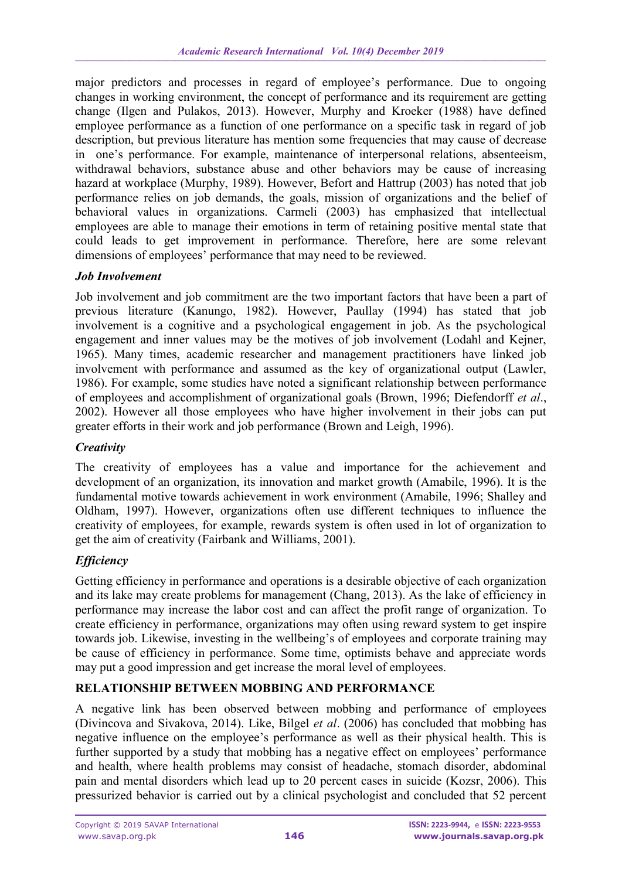major predictors and processes in regard of employee's performance. Due to ongoing changes in working environment, the concept of performance and its requirement are getting change (Ilgen and Pulakos, 2013). However, Murphy and Kroeker (1988) have defined employee performance as a function of one performance on a specific task in regard of job description, but previous literature has mention some frequencies that may cause of decrease in one's performance. For example, maintenance of interpersonal relations, absenteeism, withdrawal behaviors, substance abuse and other behaviors may be cause of increasing hazard at workplace (Murphy, 1989). However, Befort and Hattrup (2003) has noted that job performance relies on job demands, the goals, mission of organizations and the belief of behavioral values in organizations. Carmeli (2003) has emphasized that intellectual employees are able to manage their emotions in term of retaining positive mental state that could leads to get improvement in performance. Therefore, here are some relevant dimensions of employees' performance that may need to be reviewed.

### *Job Involvement*

Job involvement and job commitment are the two important factors that have been a part of previous literature (Kanungo, 1982). However, Paullay (1994) has stated that job involvement is a cognitive and a psychological engagement in job. As the psychological engagement and inner values may be the motives of job involvement (Lodahl and Kejner, 1965). Many times, academic researcher and management practitioners have linked job involvement with performance and assumed as the key of organizational output (Lawler, 1986). For example, some studies have noted a significant relationship between performance of employees and accomplishment of organizational goals (Brown, 1996; Diefendorff *et al*., 2002). However all those employees who have higher involvement in their jobs can put greater efforts in their work and job performance (Brown and Leigh, 1996).

## *Creativity*

The creativity of employees has a value and importance for the achievement and development of an organization, its innovation and market growth (Amabile, 1996). It is the fundamental motive towards achievement in work environment (Amabile, 1996; Shalley and Oldham, 1997). However, organizations often use different techniques to influence the creativity of employees, for example, rewards system is often used in lot of organization to get the aim of creativity (Fairbank and Williams, 2001).

## *Efficiency*

Getting efficiency in performance and operations is a desirable objective of each organization and its lake may create problems for management (Chang, 2013). As the lake of efficiency in performance may increase the labor cost and can affect the profit range of organization. To create efficiency in performance, organizations may often using reward system to get inspire towards job. Likewise, investing in the wellbeing's of employees and corporate training may be cause of efficiency in performance. Some time, optimists behave and appreciate words may put a good impression and get increase the moral level of employees.

### **RELATIONSHIP BETWEEN MOBBING AND PERFORMANCE**

A negative link has been observed between mobbing and performance of employees (Divincova and Sivakova, 2014). Like, Bilgel *et al*. (2006) has concluded that mobbing has negative influence on the employee's performance as well as their physical health. This is further supported by a study that mobbing has a negative effect on employees' performance and health, where health problems may consist of headache, stomach disorder, abdominal pain and mental disorders which lead up to 20 percent cases in suicide (Kozsr, 2006). This pressurized behavior is carried out by a clinical psychologist and concluded that 52 percent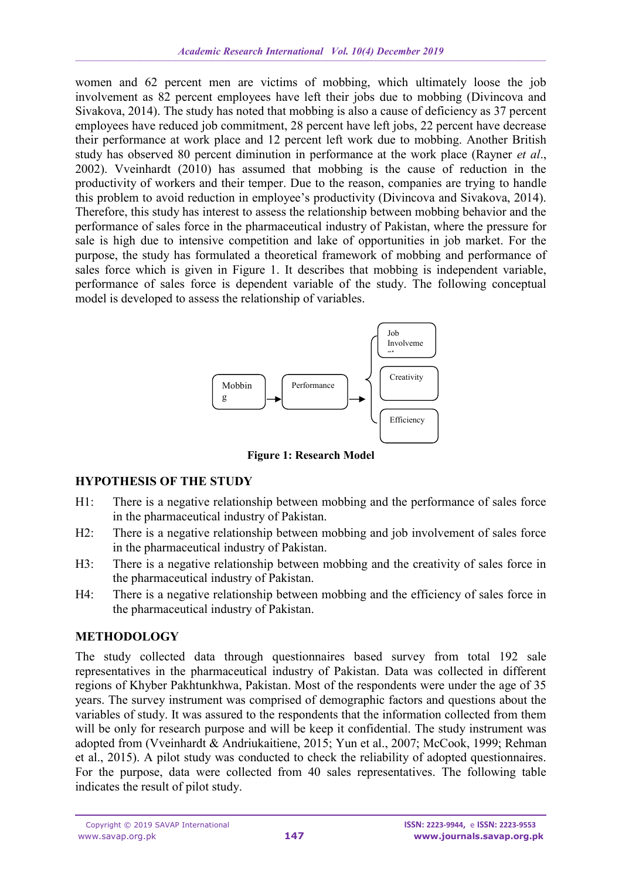women and 62 percent men are victims of mobbing, which ultimately loose the job involvement as 82 percent employees have left their jobs due to mobbing (Divincova and Sivakova, 2014). The study has noted that mobbing is also a cause of deficiency as 37 percent employees have reduced job commitment, 28 percent have left jobs, 22 percent have decrease their performance at work place and 12 percent left work due to mobbing. Another British study has observed 80 percent diminution in performance at the work place (Rayner *et al*., 2002). Vveinhardt (2010) has assumed that mobbing is the cause of reduction in the productivity of workers and their temper. Due to the reason, companies are trying to handle this problem to avoid reduction in employee's productivity (Divincova and Sivakova, 2014). Therefore, this study has interest to assess the relationship between mobbing behavior and the performance of sales force in the pharmaceutical industry of Pakistan, where the pressure for sale is high due to intensive competition and lake of opportunities in job market. For the purpose, the study has formulated a theoretical framework of mobbing and performance of sales force which is given in Figure 1. It describes that mobbing is independent variable, performance of sales force is dependent variable of the study. The following conceptual model is developed to assess the relationship of variables.



**Figure 1: Research Model**

## **HYPOTHESIS OF THE STUDY**

- H1: There is a negative relationship between mobbing and the performance of sales force in the pharmaceutical industry of Pakistan.
- H2: There is a negative relationship between mobbing and job involvement of sales force in the pharmaceutical industry of Pakistan.
- H3: There is a negative relationship between mobbing and the creativity of sales force in the pharmaceutical industry of Pakistan.
- H4: There is a negative relationship between mobbing and the efficiency of sales force in the pharmaceutical industry of Pakistan.

## **METHODOLOGY**

The study collected data through questionnaires based survey from total 192 sale representatives in the pharmaceutical industry of Pakistan. Data was collected in different regions of Khyber Pakhtunkhwa, Pakistan. Most of the respondents were under the age of 35 years. The survey instrument was comprised of demographic factors and questions about the variables of study. It was assured to the respondents that the information collected from them will be only for research purpose and will be keep it confidential. The study instrument was adopted from (Vveinhardt & Andriukaitiene, 2015; Yun et al., 2007; McCook, 1999; Rehman et al., 2015). A pilot study was conducted to check the reliability of adopted questionnaires. For the purpose, data were collected from 40 sales representatives. The following table indicates the result of pilot study.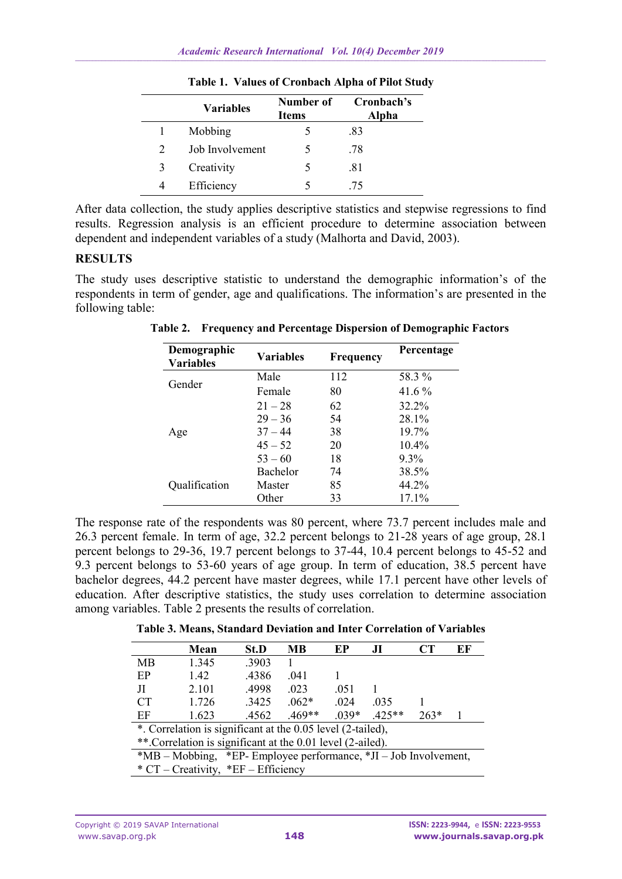|                             | <b>Variables</b> | Number of<br><b>Items</b> | Cronbach's<br>Alpha |
|-----------------------------|------------------|---------------------------|---------------------|
|                             | Mobbing          |                           | .83                 |
| $\mathcal{D}_{\mathcal{L}}$ | Job Involvement  | 5                         | .78                 |
| $\mathcal{F}$               | Creativity       | 5                         | .81                 |
|                             | Efficiency       |                           | -75                 |

**Table 1. Values of Cronbach Alpha of Pilot Study**

After data collection, the study applies descriptive statistics and stepwise regressions to find results. Regression analysis is an efficient procedure to determine association between dependent and independent variables of a study (Malhorta and David, 2003).

### **RESULTS**

The study uses descriptive statistic to understand the demographic information's of the respondents in term of gender, age and qualifications. The information's are presented in the following table:

| Demographic<br><b>Variables</b> | <b>Variables</b> | <b>Frequency</b> | Percentage |
|---------------------------------|------------------|------------------|------------|
|                                 | Male             | 112              | 58.3 %     |
| Gender                          | Female           | 80               | 41.6 %     |
|                                 | $21 - 28$        | 62               | 32.2%      |
|                                 | $29 - 36$        | 54               | 28.1%      |
| Age                             | $37 - 44$        | 38               | 19.7%      |
|                                 | $45 - 52$        | 20               | $10.4\%$   |
|                                 | $53 - 60$        | 18               | $9.3\%$    |
|                                 | Bachelor         | 74               | 38.5%      |
| Qualification                   | Master           | 85               | 44.2%      |
|                                 | Other            | 33               | $17.1\%$   |

**Table 2. Frequency and Percentage Dispersion of Demographic Factors**

The response rate of the respondents was 80 percent, where 73.7 percent includes male and 26.3 percent female. In term of age, 32.2 percent belongs to 21-28 years of age group, 28.1 percent belongs to 29-36, 19.7 percent belongs to 37-44, 10.4 percent belongs to 45-52 and 9.3 percent belongs to 53-60 years of age group. In term of education, 38.5 percent have bachelor degrees, 44.2 percent have master degrees, while 17.1 percent have other levels of education. After descriptive statistics, the study uses correlation to determine association among variables. Table 2 presents the results of correlation.

**Table 3. Means, Standard Deviation and Inter Correlation of Variables**

|                                                                  | Mean  | St.D  | MВ       | EP      | J <sub>I</sub> | CT     | EF |
|------------------------------------------------------------------|-------|-------|----------|---------|----------------|--------|----|
| MB                                                               | 1.345 | .3903 |          |         |                |        |    |
| EP                                                               | 1.42  | .4386 | .041     |         |                |        |    |
| Л                                                                | 2.101 | .4998 | .023     | .051    |                |        |    |
| <b>CT</b>                                                        | 1.726 | .3425 | $.062*$  | .024    | .035           |        |    |
| EF                                                               | 1.623 | .4562 | $.469**$ | $.039*$ | $.425**$       | $263*$ |    |
| *. Correlation is significant at the 0.05 level (2-tailed),      |       |       |          |         |                |        |    |
| **. Correlation is significant at the 0.01 level (2-ailed).      |       |       |          |         |                |        |    |
| *MB – Mobbing, *EP- Employee performance, *JI – Job Involvement, |       |       |          |         |                |        |    |
| * $CT - Creative$ , * $EF - Efficiency$                          |       |       |          |         |                |        |    |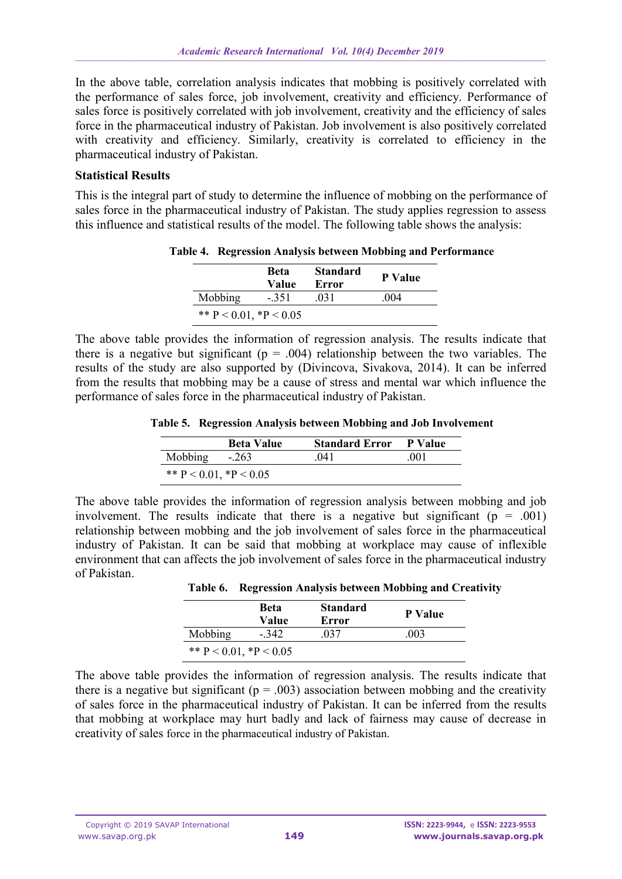In the above table, correlation analysis indicates that mobbing is positively correlated with the performance of sales force, job involvement, creativity and efficiency. Performance of sales force is positively correlated with job involvement, creativity and the efficiency of sales force in the pharmaceutical industry of Pakistan. Job involvement is also positively correlated with creativity and efficiency. Similarly, creativity is correlated to efficiency in the pharmaceutical industry of Pakistan.

### **Statistical Results**

This is the integral part of study to determine the influence of mobbing on the performance of sales force in the pharmaceutical industry of Pakistan. The study applies regression to assess this influence and statistical results of the model. The following table shows the analysis:

|                              | <b>Beta</b><br>Value | <b>Standard</b><br>Error | <b>P</b> Value |  |
|------------------------------|----------------------|--------------------------|----------------|--|
| Mobbing                      | $-351$               | 031                      | 004            |  |
| ** $P < 0.01$ , * $P < 0.05$ |                      |                          |                |  |

**Table 4. Regression Analysis between Mobbing and Performance**

The above table provides the information of regression analysis. The results indicate that there is a negative but significant ( $p = .004$ ) relationship between the two variables. The results of the study are also supported by (Divincova, Sivakova, 2014). It can be inferred from the results that mobbing may be a cause of stress and mental war which influence the performance of sales force in the pharmaceutical industry of Pakistan.

**Table 5. Regression Analysis between Mobbing and Job Involvement**

|                              | <b>Beta Value</b> | <b>Standard Error</b> | P Value |
|------------------------------|-------------------|-----------------------|---------|
| <b>Mobbing</b>               | $-.263$           | 041                   | -001    |
| ** $P < 0.01$ , * $P < 0.05$ |                   |                       |         |

The above table provides the information of regression analysis between mobbing and job involvement. The results indicate that there is a negative but significant  $(p = .001)$ relationship between mobbing and the job involvement of sales force in the pharmaceutical industry of Pakistan. It can be said that mobbing at workplace may cause of inflexible environment that can affects the job involvement of sales force in the pharmaceutical industry of Pakistan.

|  | Table 6. Regression Analysis between Mobbing and Creativity |  |  |  |  |  |
|--|-------------------------------------------------------------|--|--|--|--|--|
|--|-------------------------------------------------------------|--|--|--|--|--|

|                              | Beta<br>Value | <b>Standard</b><br>Error | <b>P</b> Value |
|------------------------------|---------------|--------------------------|----------------|
| Mobbing                      | $-342$        | 037                      | .003           |
| ** $P < 0.01$ , * $P < 0.05$ |               |                          |                |

The above table provides the information of regression analysis. The results indicate that there is a negative but significant ( $p = .003$ ) association between mobbing and the creativity of sales force in the pharmaceutical industry of Pakistan. It can be inferred from the results that mobbing at workplace may hurt badly and lack of fairness may cause of decrease in creativity of sales force in the pharmaceutical industry of Pakistan.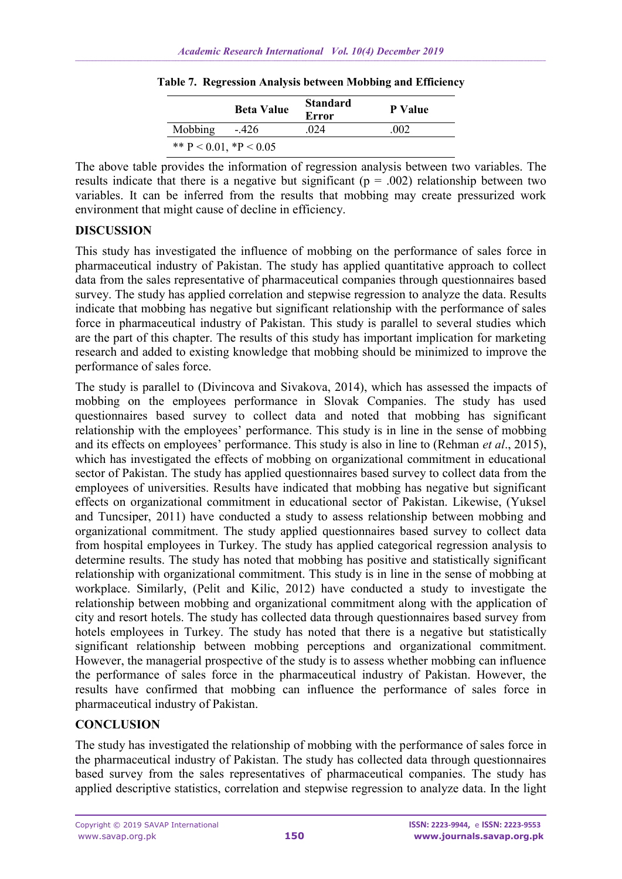|                              | <b>Beta Value</b> | <b>Standard</b><br>Error | <b>P</b> Value |
|------------------------------|-------------------|--------------------------|----------------|
| Mobbing                      | $-426$            | 024                      | 002            |
| ** $P < 0.01$ , * $P < 0.05$ |                   |                          |                |

**Table 7. Regression Analysis between Mobbing and Efficiency**

The above table provides the information of regression analysis between two variables. The results indicate that there is a negative but significant ( $p = .002$ ) relationship between two variables. It can be inferred from the results that mobbing may create pressurized work environment that might cause of decline in efficiency.

### **DISCUSSION**

This study has investigated the influence of mobbing on the performance of sales force in pharmaceutical industry of Pakistan. The study has applied quantitative approach to collect data from the sales representative of pharmaceutical companies through questionnaires based survey. The study has applied correlation and stepwise regression to analyze the data. Results indicate that mobbing has negative but significant relationship with the performance of sales force in pharmaceutical industry of Pakistan. This study is parallel to several studies which are the part of this chapter. The results of this study has important implication for marketing research and added to existing knowledge that mobbing should be minimized to improve the performance of sales force.

The study is parallel to (Divincova and Sivakova, 2014), which has assessed the impacts of mobbing on the employees performance in Slovak Companies. The study has used questionnaires based survey to collect data and noted that mobbing has significant relationship with the employees' performance. This study is in line in the sense of mobbing and its effects on employees' performance. This study is also in line to (Rehman *et al*., 2015), which has investigated the effects of mobbing on organizational commitment in educational sector of Pakistan. The study has applied questionnaires based survey to collect data from the employees of universities. Results have indicated that mobbing has negative but significant effects on organizational commitment in educational sector of Pakistan. Likewise, (Yuksel and Tuncsiper, 2011) have conducted a study to assess relationship between mobbing and organizational commitment. The study applied questionnaires based survey to collect data from hospital employees in Turkey. The study has applied categorical regression analysis to determine results. The study has noted that mobbing has positive and statistically significant relationship with organizational commitment. This study is in line in the sense of mobbing at workplace. Similarly, (Pelit and Kilic, 2012) have conducted a study to investigate the relationship between mobbing and organizational commitment along with the application of city and resort hotels. The study has collected data through questionnaires based survey from hotels employees in Turkey. The study has noted that there is a negative but statistically significant relationship between mobbing perceptions and organizational commitment. However, the managerial prospective of the study is to assess whether mobbing can influence the performance of sales force in the pharmaceutical industry of Pakistan. However, the results have confirmed that mobbing can influence the performance of sales force in pharmaceutical industry of Pakistan.

## **CONCLUSION**

The study has investigated the relationship of mobbing with the performance of sales force in the pharmaceutical industry of Pakistan. The study has collected data through questionnaires based survey from the sales representatives of pharmaceutical companies. The study has applied descriptive statistics, correlation and stepwise regression to analyze data. In the light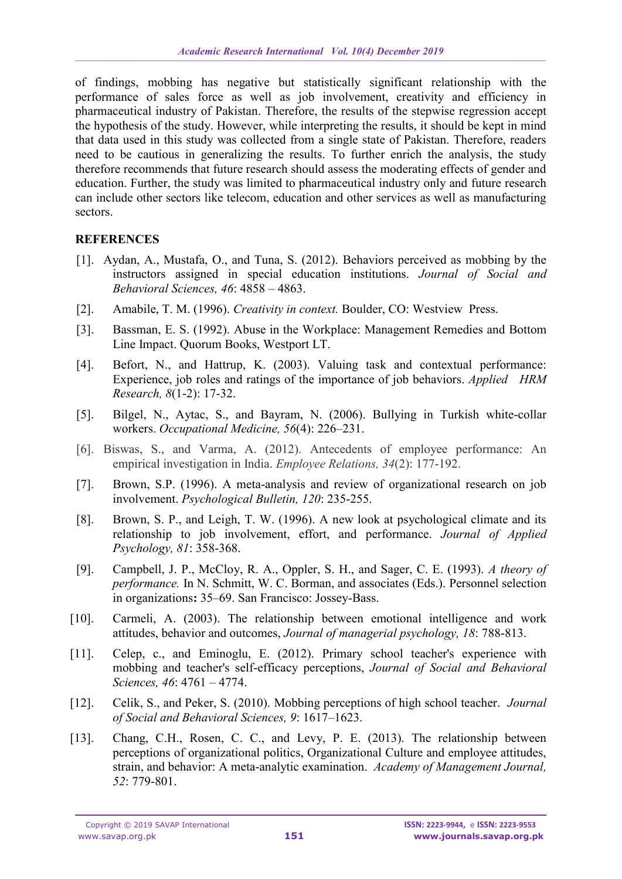of findings, mobbing has negative but statistically significant relationship with the performance of sales force as well as job involvement, creativity and efficiency in pharmaceutical industry of Pakistan. Therefore, the results of the stepwise regression accept the hypothesis of the study. However, while interpreting the results, it should be kept in mind that data used in this study was collected from a single state of Pakistan. Therefore, readers need to be cautious in generalizing the results. To further enrich the analysis, the study therefore recommends that future research should assess the moderating effects of gender and education. Further, the study was limited to pharmaceutical industry only and future research can include other sectors like telecom, education and other services as well as manufacturing sectors.

### **REFERENCES**

- [1]. Aydan, A., Mustafa, O., and Tuna, S. (2012). Behaviors perceived as mobbing by the instructors assigned in special education institutions. *Journal of Social and Behavioral Sciences, 46*: 4858 – 4863.
- [2]. Amabile, T. M. (1996). *Creativity in context.* Boulder, CO: Westview Press.
- [3]. Bassman, E. S. (1992). Abuse in the Workplace: Management Remedies and Bottom Line Impact. Quorum Books, Westport LT.
- [4]. Befort, N., and Hattrup, K. (2003). Valuing task and contextual performance: Experience, job roles and ratings of the importance of job behaviors. *Applied HRM Research, 8*(1-2): 17-32.
- [5]. Bilgel, N., Aytac, S., and Bayram, N. (2006). Bullying in Turkish white-collar workers. *Occupational Medicine, 56*(4): 226–231.
- [6]. Biswas, S., and Varma, A. (2012). Antecedents of employee performance: An empirical investigation in India. *Employee Relations, 34*(2): 177-192.
- [7]. Brown, S.P. (1996). A meta-analysis and review of organizational research on job involvement. *Psychological Bulletin, 120*: 235-255.
- [8]. Brown, S. P., and Leigh, T. W. (1996). A new look at psychological climate and its relationship to job involvement, effort, and performance. *Journal of Applied Psychology, 81*: 358-368.
- [9]. Campbell, J. P., McCloy, R. A., Oppler, S. H., and Sager, C. E. (1993). *A theory of performance.* In N. Schmitt, W. C. Borman, and associates (Eds.). Personnel selection in organizations**:** 35–69. San Francisco: Jossey-Bass.
- [10]. Carmeli, A. (2003). The relationship between emotional intelligence and work attitudes, behavior and outcomes, *Journal of managerial psychology, 18*: 788-813.
- [11]. Celep, c., and Eminoglu, E. (2012). Primary school teacher's experience with mobbing and teacher's self-efficacy perceptions, *Journal of Social and Behavioral Sciences, 46*: 4761 – 4774.
- [12]. Celik, S., and Peker, S. (2010). Mobbing perceptions of high school teacher. *Journal of Social and Behavioral Sciences, 9*: 1617–1623.
- [13]. Chang, C.H., Rosen, C. C., and Levy, P. E. (2013). The relationship between perceptions of organizational politics, Organizational Culture and employee attitudes, strain, and behavior: A meta-analytic examination. *Academy of Management Journal, 52*: 779-801.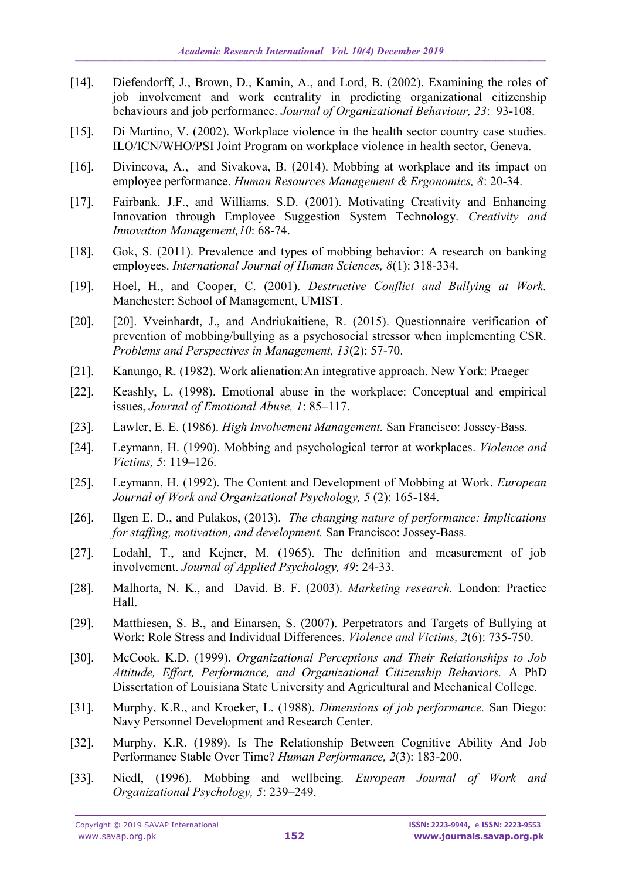- [14]. Diefendorff, J., Brown, D., Kamin, A., and Lord, B. (2002). Examining the roles of job involvement and work centrality in predicting organizational citizenship behaviours and job performance. *Journal of Organizational Behaviour, 23*: 93-108.
- [15]. Di Martino, V. (2002). Workplace violence in the health sector country case studies. ILO/ICN/WHO/PSI Joint Program on workplace violence in health sector, Geneva.
- [16]. Divincova, A., and Sivakova, B. (2014). Mobbing at workplace and its impact on employee performance. *Human Resources Management & Ergonomics, 8*: 20-34.
- [17]. Fairbank, J.F., and Williams, S.D. (2001). Motivating Creativity and Enhancing Innovation through Employee Suggestion System Technology. *Creativity and Innovation Management,10*: 68-74.
- [18]. Gok, S. (2011). Prevalence and types of mobbing behavior: A research on banking employees. *International Journal of Human Sciences, 8*(1): 318-334.
- [19]. Hoel, H., and Cooper, C. (2001). *Destructive Conflict and Bullying at Work.* Manchester: School of Management, UMIST.
- [20]. [20]. Vveinhardt, J., and Andriukaitiene, R. (2015). Questionnaire verification of prevention of mobbing/bullying as a psychosocial stressor when implementing CSR. *Problems and Perspectives in Management, 13*(2): 57-70.
- [21]. Kanungo, R. (1982). Work alienation:An integrative approach. New York: Praeger
- [22]. Keashly, L. (1998). Emotional abuse in the workplace: Conceptual and empirical issues, *Journal of Emotional Abuse, 1*: 85–117.
- [23]. Lawler, E. E. (1986). *High Involvement Management.* San Francisco: Jossey-Bass.
- [24]. Leymann, H. (1990). Mobbing and psychological terror at workplaces. *Violence and Victims, 5*: 119–126.
- [25]. Leymann, H. (1992). The Content and Development of Mobbing at Work. *European Journal of Work and Organizational Psychology, 5* (2): 165-184.
- [26]. Ilgen E. D., and Pulakos, (2013). *The changing nature of performance: Implications for staffing, motivation, and development.* San Francisco: Jossey-Bass.
- [27]. Lodahl, T., and Kejner, M. (1965). The definition and measurement of job involvement. *Journal of Applied Psychology, 49*: 24-33.
- [28]. Malhorta, N. K., and David. B. F. (2003). *Marketing research.* London: Practice Hall.
- [29]. Matthiesen, S. B., and Einarsen, S. (2007). Perpetrators and Targets of Bullying at Work: Role Stress and Individual Differences. *Violence and Victims, 2*(6): 735-750.
- [30]. McCook. K.D. (1999). *Organizational Perceptions and Their Relationships to Job Attitude, Effort, Performance, and Organizational Citizenship Behaviors.* A PhD Dissertation of Louisiana State University and Agricultural and Mechanical College.
- [31]. Murphy, K.R., and Kroeker, L. (1988). *Dimensions of job performance.* San Diego: Navy Personnel Development and Research Center.
- [32]. Murphy, K.R. (1989). Is The Relationship Between Cognitive Ability And Job Performance Stable Over Time? *Human Performance, 2*(3): 183-200.
- [33]. Niedl, (1996). Mobbing and wellbeing. *European Journal of Work and Organizational Psychology, 5*: 239–249.